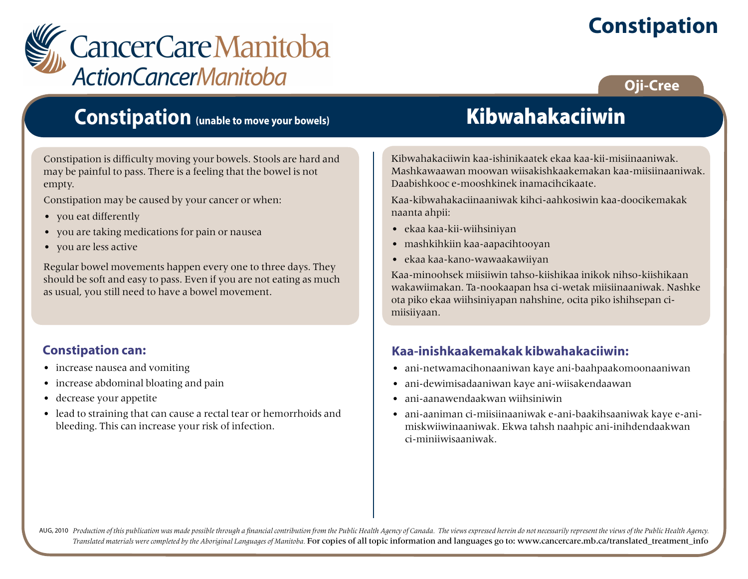# **Constipation**



### **Oji-Cree**

### **Constipation (unable to move your bowels)**

Constipation is difficulty moving your bowels. Stools are hard and may be painful to pass. There is a feeling that the bowel is not empty.

Constipation may be caused by your cancer or when:

- you eat differently
- you are taking medications for pain or nausea
- you are less active

Regular bowel movements happen every one to three days. They should be soft and easy to pass. Even if you are not eating as much as usual, you still need to have a bowel movement.

### **Constipation can:**

- increase nausea and vomiting
- increase abdominal bloating and pain
- decrease your appetite
- lead to straining that can cause a rectal tear or hemorrhoids and bleeding. This can increase your risk of infection.

# Kibwahakaciiwin

Kibwahakaciiwin kaa-ishinikaatek ekaa kaa-kii-misiinaaniwak. Mashkawaawan moowan wiisakishkaakemakan kaa-miisiinaaniwak. Daabishkooc e-mooshkinek inamacihcikaate.

Kaa-kibwahakaciinaaniwak kihci-aahkosiwin kaa-doocikemakak naanta ahpii:

- ekaa kaa-kii-wiihsiniyan
- mashkihkiin kaa-aapacihtooyan
- ekaa kaa-kano-wawaakawiiyan

Kaa-minoohsek miisiiwin tahso-kiishikaa inikok nihso-kiishikaan wakawiimakan. Ta-nookaapan hsa ci-wetak miisiinaaniwak. Nashke ota piko ekaa wiihsiniyapan nahshine, ocita piko ishihsepan cimiisiiyaan.

### **Kaa-inishkaakemakak kibwahakaciiwin:**

- ani-netwamacihonaaniwan kaye ani-baahpaakomoonaaniwan
- ani-dewimisadaaniwan kaye ani-wiisakendaawan
- ani-aanawendaakwan wiihsiniwin
- ani-aaniman ci-miisiinaaniwak e-ani-baakihsaaniwak kaye e-animiskwiiwinaaniwak. Ekwa tahsh naahpic ani-inihdendaakwan ci-miniiwisaaniwak.

AUG, 2010 Production of this publication was made possible through a financial contribution from the Public Health Agency of Canada. The views expressed herein do not necessarily represent the views of the Public Health Ag *Translated materials were completed by the Aboriginal Languages of Manitoba.* For copies of all topic information and languages go to: www.cancercare.mb.ca/translated\_treatment\_info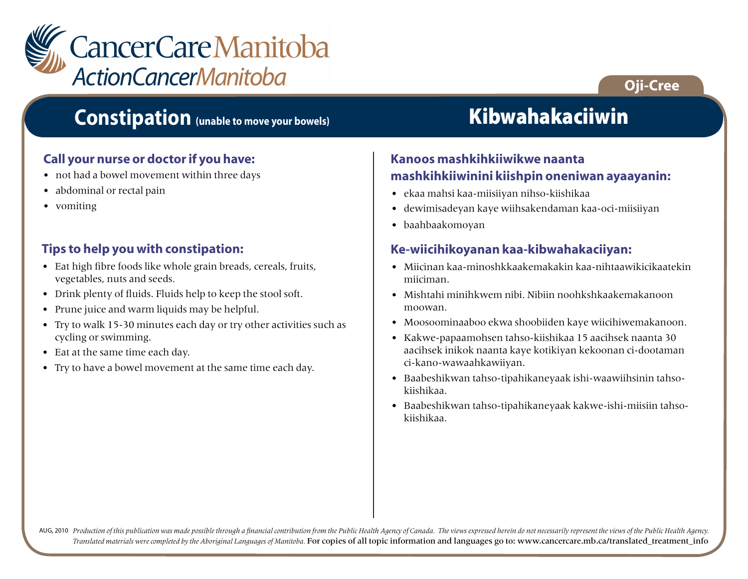

### **Oji-Cree**

### **Constipation (unable to move your bowels)**

#### **Call your nurse or doctor if you have:**

- not had a bowel movement within three days
- abdominal or rectal pain
- vomiting

#### **Tips to help you with constipation:**

- Eat high fibre foods like whole grain breads, cereals, fruits, vegetables, nuts and seeds.
- Drink plenty of fluids. Fluids help to keep the stool soft.
- Prune juice and warm liquids may be helpful.
- Try to walk 15-30 minutes each day or try other activities such as cycling or swimming.
- Eat at the same time each day.
- Try to have a bowel movement at the same time each day.

# Kibwahakaciiwin

#### **Kanoos mashkihkiiwikwe naanta mashkihkiiwinini kiishpin oneniwan ayaayanin:**

- ekaa mahsi kaa-miisiiyan nihso-kiishikaa
- dewimisadeyan kaye wiihsakendaman kaa-oci-miisiiyan
- baahbaakomoyan

#### **Ke-wiicihikoyanan kaa-kibwahakaciiyan:**

- Miicinan kaa-minoshkkaakemakakin kaa-nihtaawikicikaatekin miiciman.
- Mishtahi minihkwem nibi. Nibiin noohkshkaakemakanoon moowan.
- Moosoominaaboo ekwa shoobiiden kaye wiicihiwemakanoon.
- Kakwe-papaamohsen tahso-kiishikaa 15 aacihsek naanta 30 aacihsek inikok naanta kaye kotikiyan kekoonan ci-dootaman ci-kano-wawaahkawiiyan.
- Baabeshikwan tahso-tipahikaneyaak ishi-waawiihsinin tahsokiishikaa.
- Baabeshikwan tahso-tipahikaneyaak kakwe-ishi-miisiin tahsokiishikaa.

AUG, 2010 Production of this publication was made possible through a financial contribution from the Public Health Agency of Canada. The views expressed herein do not necessarily represent the views of the Public Health Ag *Translated materials were completed by the Aboriginal Languages of Manitoba.* For copies of all topic information and languages go to: www.cancercare.mb.ca/translated\_treatment\_info